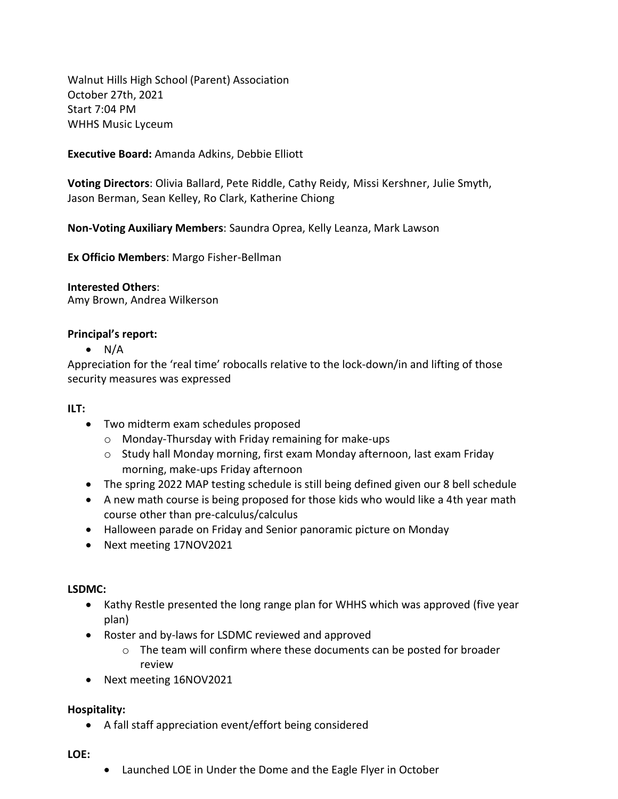Walnut Hills High School (Parent) Association October 27th, 2021 Start 7:04 PM WHHS Music Lyceum

**Executive Board:** Amanda Adkins, Debbie Elliott

**Voting Directors**: Olivia Ballard, Pete Riddle, Cathy Reidy, Missi Kershner, Julie Smyth, Jason Berman, Sean Kelley, Ro Clark, Katherine Chiong

**Non-Voting Auxiliary Members**: Saundra Oprea, Kelly Leanza, Mark Lawson

**Ex Officio Members**: Margo Fisher-Bellman

**Interested Others**:

Amy Brown, Andrea Wilkerson

### **Principal's report:**

 $\bullet$  N/A

Appreciation for the 'real time' robocalls relative to the lock-down/in and lifting of those security measures was expressed

### **ILT:**

- Two midterm exam schedules proposed
	- o Monday-Thursday with Friday remaining for make-ups
	- $\circ$  Study hall Monday morning, first exam Monday afternoon, last exam Friday morning, make-ups Friday afternoon
- The spring 2022 MAP testing schedule is still being defined given our 8 bell schedule
- A new math course is being proposed for those kids who would like a 4th year math course other than pre-calculus/calculus
- Halloween parade on Friday and Senior panoramic picture on Monday
- Next meeting 17NOV2021

### **LSDMC:**

- Kathy Restle presented the long range plan for WHHS which was approved (five year plan)
- Roster and by-laws for LSDMC reviewed and approved
	- $\circ$  The team will confirm where these documents can be posted for broader review
- Next meeting 16NOV2021

### **Hospitality:**

A fall staff appreciation event/effort being considered

#### **LOE:**

Launched LOE in Under the Dome and the Eagle Flyer in October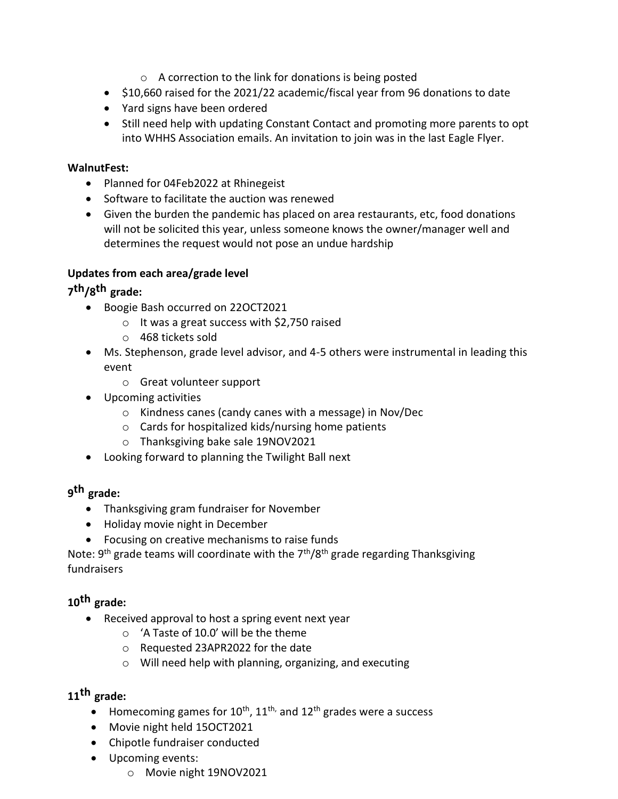- o A correction to the link for donations is being posted
- \$10,660 raised for the 2021/22 academic/fiscal year from 96 donations to date
- Yard signs have been ordered
- Still need help with updating Constant Contact and promoting more parents to opt into WHHS Association emails. An invitation to join was in the last Eagle Flyer.

### **WalnutFest:**

- Planned for 04Feb2022 at Rhinegeist
- Software to facilitate the auction was renewed
- Given the burden the pandemic has placed on area restaurants, etc, food donations will not be solicited this year, unless someone knows the owner/manager well and determines the request would not pose an undue hardship

### **Updates from each area/grade level**

# **7 th/8 th grade:**

- Boogie Bash occurred on 22OCT2021
	- o It was a great success with \$2,750 raised
	- o 468 tickets sold
- Ms. Stephenson, grade level advisor, and 4-5 others were instrumental in leading this event
	- o Great volunteer support
- Upcoming activities
	- o Kindness canes (candy canes with a message) in Nov/Dec
	- o Cards for hospitalized kids/nursing home patients
	- o Thanksgiving bake sale 19NOV2021
- Looking forward to planning the Twilight Ball next

# **9 th grade:**

- Thanksgiving gram fundraiser for November
- Holiday movie night in December
- Focusing on creative mechanisms to raise funds

Note:  $9<sup>th</sup>$  grade teams will coordinate with the  $7<sup>th</sup>/8<sup>th</sup>$  grade regarding Thanksgiving fundraisers

# **10th grade:**

- Received approval to host a spring event next year
	- o 'A Taste of 10.0' will be the theme
	- o Requested 23APR2022 for the date
	- o Will need help with planning, organizing, and executing

## **11th grade:**

- Homecoming games for  $10^{th}$ ,  $11^{th}$ , and  $12^{th}$  grades were a success
- Movie night held 15OCT2021
- Chipotle fundraiser conducted
- Upcoming events:
	- o Movie night 19NOV2021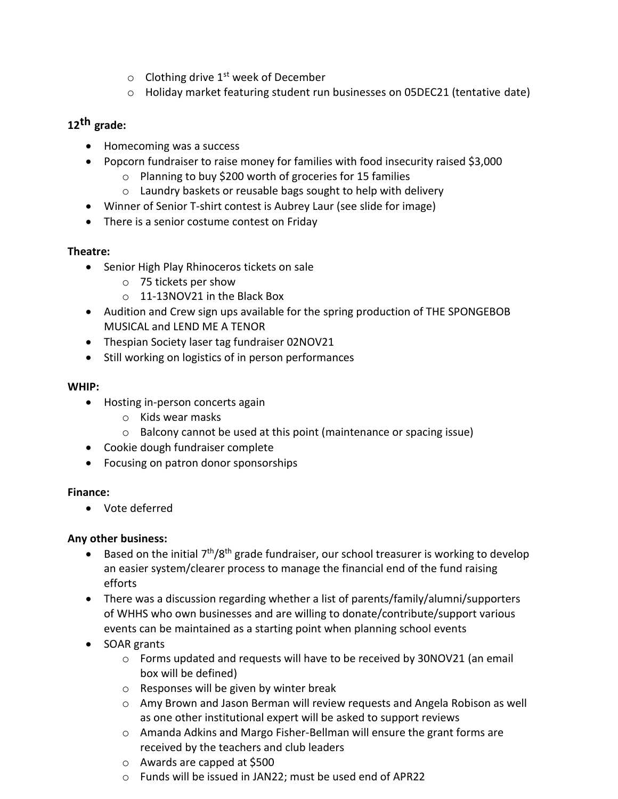- $\circ$  Clothing drive 1<sup>st</sup> week of December
- o Holiday market featuring student run businesses on 05DEC21 (tentative date)

# **12th grade:**

- Homecoming was a success
- Popcorn fundraiser to raise money for families with food insecurity raised \$3,000
	- o Planning to buy \$200 worth of groceries for 15 families
	- o Laundry baskets or reusable bags sought to help with delivery
- Winner of Senior T-shirt contest is Aubrey Laur (see slide for image)
- There is a senior costume contest on Friday

### **Theatre:**

- Senior High Play Rhinoceros tickets on sale
	- o 75 tickets per show
	- o 11-13NOV21 in the Black Box
- Audition and Crew sign ups available for the spring production of THE SPONGEBOB MUSICAL and LEND ME A TENOR
- Thespian Society laser tag fundraiser 02NOV21
- Still working on logistics of in person performances

### **WHIP:**

- Hosting in-person concerts again
	- o Kids wear masks
	- o Balcony cannot be used at this point (maintenance or spacing issue)
- Cookie dough fundraiser complete
- Focusing on patron donor sponsorships

## **Finance:**

Vote deferred

## **Any other business:**

- Based on the initial 7<sup>th</sup>/8<sup>th</sup> grade fundraiser, our school treasurer is working to develop an easier system/clearer process to manage the financial end of the fund raising efforts
- There was a discussion regarding whether a list of parents/family/alumni/supporters of WHHS who own businesses and are willing to donate/contribute/support various events can be maintained as a starting point when planning school events
- SOAR grants
	- o Forms updated and requests will have to be received by 30NOV21 (an email box will be defined)
	- o Responses will be given by winter break
	- o Amy Brown and Jason Berman will review requests and Angela Robison as well as one other institutional expert will be asked to support reviews
	- o Amanda Adkins and Margo Fisher-Bellman will ensure the grant forms are received by the teachers and club leaders
	- o Awards are capped at \$500
	- o Funds will be issued in JAN22; must be used end of APR22